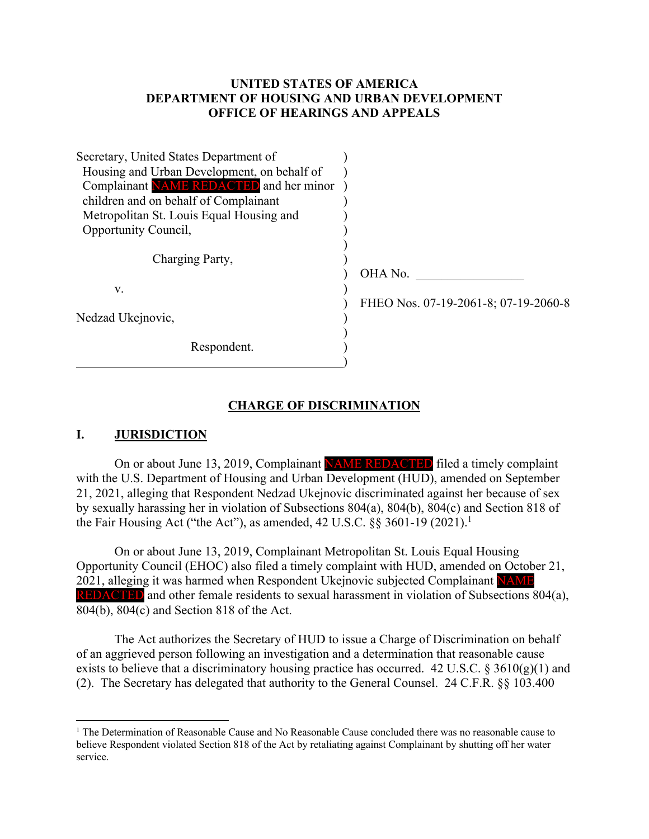### **UNITED STATES OF AMERICA DEPARTMENT OF HOUSING AND URBAN DEVELOPMENT OFFICE OF HEARINGS AND APPEALS**

| Secretary, United States Department of      |                                      |
|---------------------------------------------|--------------------------------------|
| Housing and Urban Development, on behalf of |                                      |
| Complainant NAME REDACTED and her minor     |                                      |
| children and on behalf of Complainant       |                                      |
| Metropolitan St. Louis Equal Housing and    |                                      |
| Opportunity Council,                        |                                      |
| Charging Party,                             | OHA No.                              |
| V.                                          | FHEO Nos. 07-19-2061-8; 07-19-2060-8 |
| Nedzad Ukejnovic,                           |                                      |
| Respondent.                                 |                                      |

#### **CHARGE OF DISCRIMINATION**

#### **I. JURISDICTION**

On or about June 13, 2019, Complainant NAME REDACTED filed a timely complaint with the U.S. Department of Housing and Urban Development (HUD), amended on September 21, 2021, alleging that Respondent Nedzad Ukejnovic discriminated against her because of sex by sexually harassing her in violation of Subsections 804(a), 804(b), 804(c) and Section 818 of the Fair Housing Act ("the Act"), as amended,  $42 \text{ U.S.C. }$  §§ 3601-19 (2021).<sup>1</sup>

On or about June 13, 2019, Complainant Metropolitan St. Louis Equal Housing Opportunity Council (EHOC) also filed a timely complaint with HUD, amended on October 21, 2021, alleging it was harmed when Respondent Ukejnovic subjected Complainant NAME REDACTED and other female residents to sexual harassment in violation of Subsections 804(a), 804(b), 804(c) and Section 818 of the Act.

The Act authorizes the Secretary of HUD to issue a Charge of Discrimination on behalf of an aggrieved person following an investigation and a determination that reasonable cause exists to believe that a discriminatory housing practice has occurred. 42 U.S.C. § 3610(g)(1) and (2). The Secretary has delegated that authority to the General Counsel. 24 C.F.R. §§ 103.400

 $1$  The Determination of Reasonable Cause and No Reasonable Cause concluded there was no reasonable cause to believe Respondent violated Section 818 of the Act by retaliating against Complainant by shutting off her water service.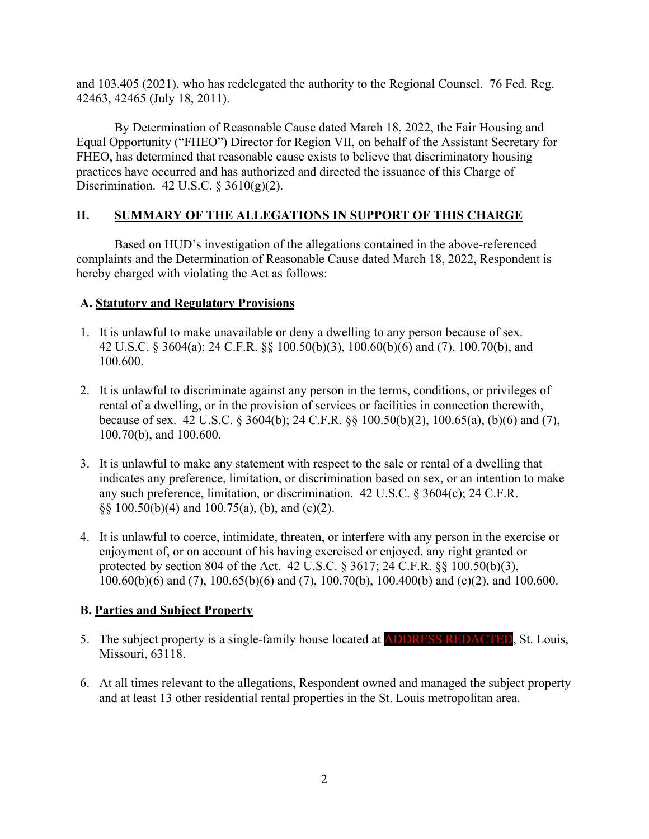and 103.405 (2021), who has redelegated the authority to the Regional Counsel. 76 Fed. Reg. 42463, 42465 (July 18, 2011).

By Determination of Reasonable Cause dated March 18, 2022, the Fair Housing and Equal Opportunity ("FHEO") Director for Region VII, on behalf of the Assistant Secretary for FHEO, has determined that reasonable cause exists to believe that discriminatory housing practices have occurred and has authorized and directed the issuance of this Charge of Discrimination. 42 U.S.C.  $\S 3610(g)(2)$ .

## **II. SUMMARY OF THE ALLEGATIONS IN SUPPORT OF THIS CHARGE**

Based on HUD's investigation of the allegations contained in the above-referenced complaints and the Determination of Reasonable Cause dated March 18, 2022, Respondent is hereby charged with violating the Act as follows:

### **A. Statutory and Regulatory Provisions**

- 1. It is unlawful to make unavailable or deny a dwelling to any person because of sex. 42 U.S.C. § 3604(a); 24 C.F.R. §§ 100.50(b)(3), 100.60(b)(6) and (7), 100.70(b), and 100.600.
- 2. It is unlawful to discriminate against any person in the terms, conditions, or privileges of rental of a dwelling, or in the provision of services or facilities in connection therewith, because of sex. 42 U.S.C. § 3604(b); 24 C.F.R. §§ 100.50(b)(2), 100.65(a), (b)(6) and (7), 100.70(b), and 100.600.
- 3. It is unlawful to make any statement with respect to the sale or rental of a dwelling that indicates any preference, limitation, or discrimination based on sex, or an intention to make any such preference, limitation, or discrimination. 42 U.S.C. § 3604(c); 24 C.F.R. §§ 100.50(b)(4) and 100.75(a), (b), and (c)(2).
- 4. It is unlawful to coerce, intimidate, threaten, or interfere with any person in the exercise or enjoyment of, or on account of his having exercised or enjoyed, any right granted or protected by section 804 of the Act. 42 U.S.C. § 3617; 24 C.F.R. §§ 100.50(b)(3), 100.60(b)(6) and (7), 100.65(b)(6) and (7), 100.70(b), 100.400(b) and (c)(2), and 100.600.

## **B. Parties and Subject Property**

- 5. The subject property is a single-family house located at **ADDRESS REDACTED**, St. Louis, Missouri, 63118.
- 6. At all times relevant to the allegations, Respondent owned and managed the subject property and at least 13 other residential rental properties in the St. Louis metropolitan area.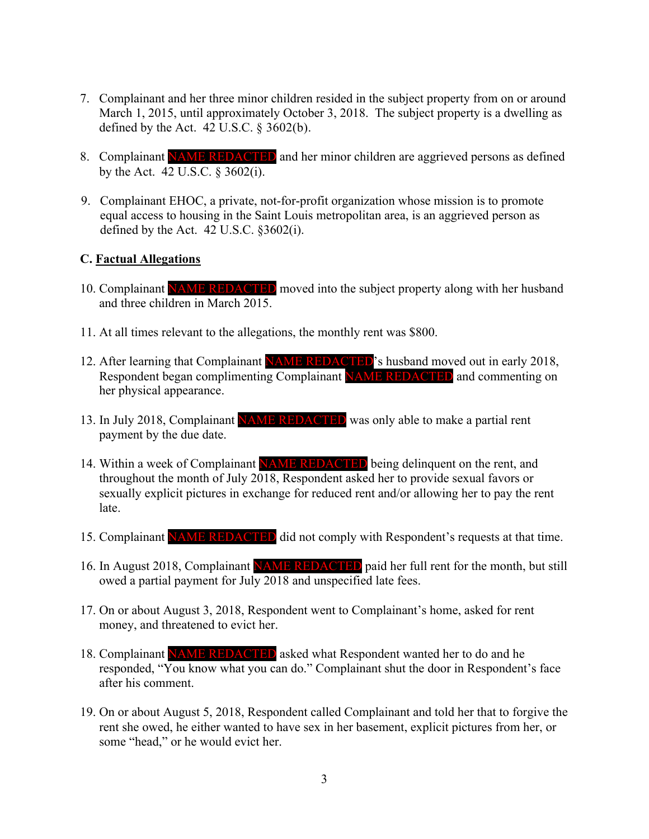- 7. Complainant and her three minor children resided in the subject property from on or around March 1, 2015, until approximately October 3, 2018. The subject property is a dwelling as defined by the Act.  $42$  U.S.C.  $\S$  3602(b).
- 8. Complainant NAME REDACTED and her minor children are aggrieved persons as defined by the Act. 42 U.S.C. § 3602(i).
- 9. Complainant EHOC, a private, not-for-profit organization whose mission is to promote equal access to housing in the Saint Louis metropolitan area, is an aggrieved person as defined by the Act. 42 U.S.C. §3602(i).

#### **C. Factual Allegations**

- 10. Complainant NAME REDACTED moved into the subject property along with her husband and three children in March 2015.
- 11. At all times relevant to the allegations, the monthly rent was \$800.
- 12. After learning that Complainant NAME REDACTED's husband moved out in early 2018, Respondent began complimenting Complainant NAME REDACTED and commenting on her physical appearance.
- 13. In July 2018, Complainant NAME REDACTED was only able to make a partial rent payment by the due date.
- 14. Within a week of Complainant **NAME REDACTED** being delinquent on the rent, and throughout the month of July 2018, Respondent asked her to provide sexual favors or sexually explicit pictures in exchange for reduced rent and/or allowing her to pay the rent late.
- 15. Complainant NAME REDACTED did not comply with Respondent's requests at that time.
- 16. In August 2018, Complainant NAME REDACTED paid her full rent for the month, but still owed a partial payment for July 2018 and unspecified late fees.
- 17. On or about August 3, 2018, Respondent went to Complainant's home, asked for rent money, and threatened to evict her.
- 18. Complainant NAME REDACTED asked what Respondent wanted her to do and he responded, "You know what you can do." Complainant shut the door in Respondent's face after his comment.
- 19. On or about August 5, 2018, Respondent called Complainant and told her that to forgive the rent she owed, he either wanted to have sex in her basement, explicit pictures from her, or some "head," or he would evict her.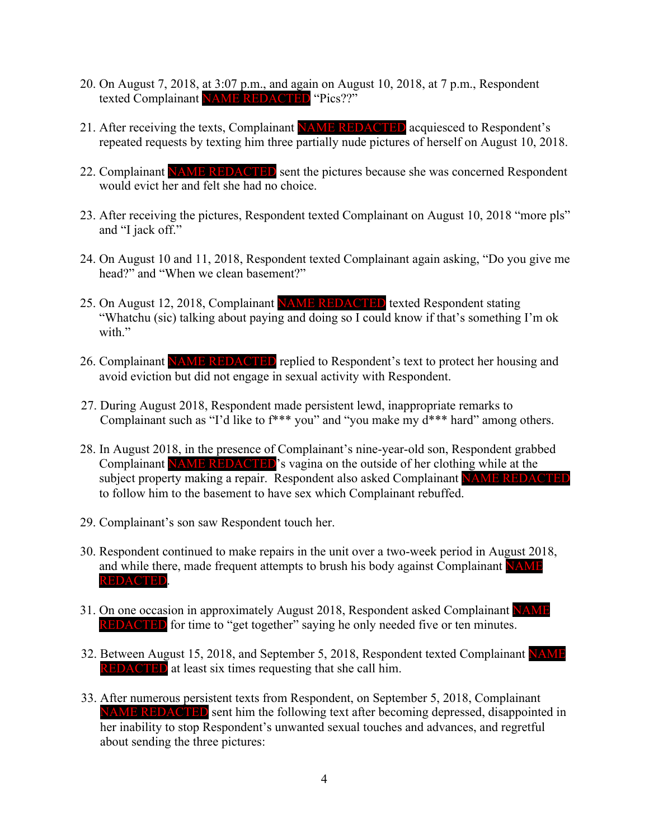- 20. On August 7, 2018, at 3:07 p.m., and again on August 10, 2018, at 7 p.m., Respondent texted Complainant NAME REDACTED "Pics??"
- 21. After receiving the texts, Complainant **NAME REDACTED** acquiesced to Respondent's repeated requests by texting him three partially nude pictures of herself on August 10, 2018.
- 22. Complainant NAME REDACTED sent the pictures because she was concerned Respondent would evict her and felt she had no choice.
- 23. After receiving the pictures, Respondent texted Complainant on August 10, 2018 "more pls" and "I jack off."
- 24. On August 10 and 11, 2018, Respondent texted Complainant again asking, "Do you give me head?" and "When we clean basement?"
- 25. On August 12, 2018, Complainant NAME REDACTED texted Respondent stating "Whatchu (sic) talking about paying and doing so I could know if that's something I'm ok with."
- 26. Complainant NAME REDACTED replied to Respondent's text to protect her housing and avoid eviction but did not engage in sexual activity with Respondent.
- 27. During August 2018, Respondent made persistent lewd, inappropriate remarks to Complainant such as "I'd like to f\*\*\* you" and "you make my d\*\*\* hard" among others.
- 28. In August 2018, in the presence of Complainant's nine-year-old son, Respondent grabbed Complainant NAME REDACTED's vagina on the outside of her clothing while at the subject property making a repair. Respondent also asked Complainant NAME REDACTED to follow him to the basement to have sex which Complainant rebuffed.
- 29. Complainant's son saw Respondent touch her.
- 30. Respondent continued to make repairs in the unit over a two-week period in August 2018, and while there, made frequent attempts to brush his body against Complainant NAME REDACTED.
- 31. On one occasion in approximately August 2018, Respondent asked Complainant NAME **REDACTED** for time to "get together" saying he only needed five or ten minutes.
- 32. Between August 15, 2018, and September 5, 2018, Respondent texted Complainant NAME REDACTED at least six times requesting that she call him.
- 33. After numerous persistent texts from Respondent, on September 5, 2018, Complainant NAME REDACTED sent him the following text after becoming depressed, disappointed in her inability to stop Respondent's unwanted sexual touches and advances, and regretful about sending the three pictures: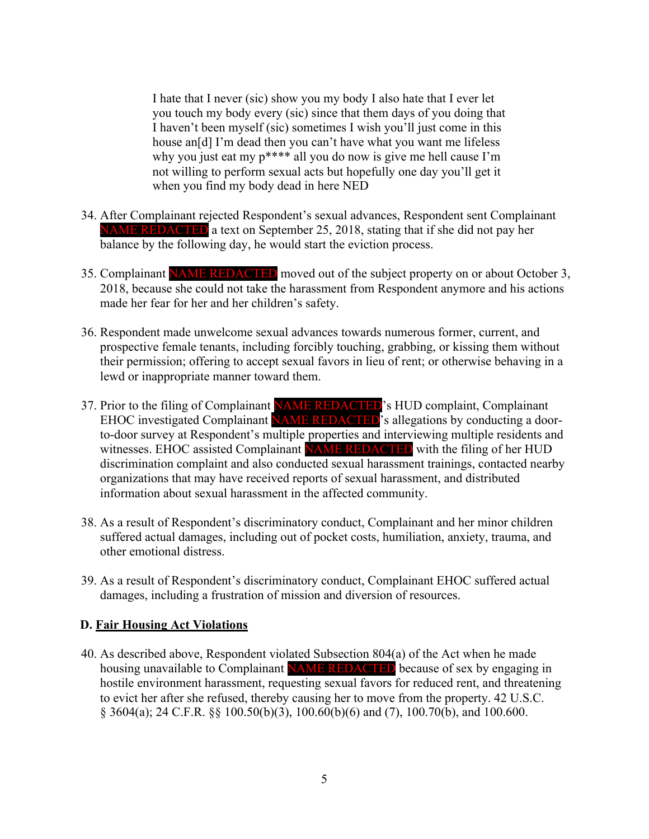I hate that I never (sic) show you my body I also hate that I ever let you touch my body every (sic) since that them days of you doing that I haven't been myself (sic) sometimes I wish you'll just come in this house an<sup>[d]</sup> I'm dead then you can't have what you want me lifeless why you just eat my p\*\*\*\* all you do now is give me hell cause I'm not willing to perform sexual acts but hopefully one day you'll get it when you find my body dead in here NED

- 34. After Complainant rejected Respondent's sexual advances, Respondent sent Complainant NAME REDACTED a text on September 25, 2018, stating that if she did not pay her balance by the following day, he would start the eviction process.
- 35. Complainant NAME REDACTED moved out of the subject property on or about October 3, 2018, because she could not take the harassment from Respondent anymore and his actions made her fear for her and her children's safety.
- 36. Respondent made unwelcome sexual advances towards numerous former, current, and prospective female tenants, including forcibly touching, grabbing, or kissing them without their permission; offering to accept sexual favors in lieu of rent; or otherwise behaving in a lewd or inappropriate manner toward them.
- 37. Prior to the filing of Complainant NAME REDACTED's HUD complaint, Complainant EHOC investigated Complainant NAME REDACTED's allegations by conducting a doorto-door survey at Respondent's multiple properties and interviewing multiple residents and witnesses. EHOC assisted Complainant NAME REDACTED with the filing of her HUD discrimination complaint and also conducted sexual harassment trainings, contacted nearby organizations that may have received reports of sexual harassment, and distributed information about sexual harassment in the affected community.
- 38. As a result of Respondent's discriminatory conduct, Complainant and her minor children suffered actual damages, including out of pocket costs, humiliation, anxiety, trauma, and other emotional distress.
- 39. As a result of Respondent's discriminatory conduct, Complainant EHOC suffered actual damages, including a frustration of mission and diversion of resources.

## **D. Fair Housing Act Violations**

40. As described above, Respondent violated Subsection 804(a) of the Act when he made housing unavailable to Complainant NAME REDACTED because of sex by engaging in hostile environment harassment, requesting sexual favors for reduced rent, and threatening to evict her after she refused, thereby causing her to move from the property. 42 U.S.C. § 3604(a); 24 C.F.R. §§ 100.50(b)(3), 100.60(b)(6) and (7), 100.70(b), and 100.600.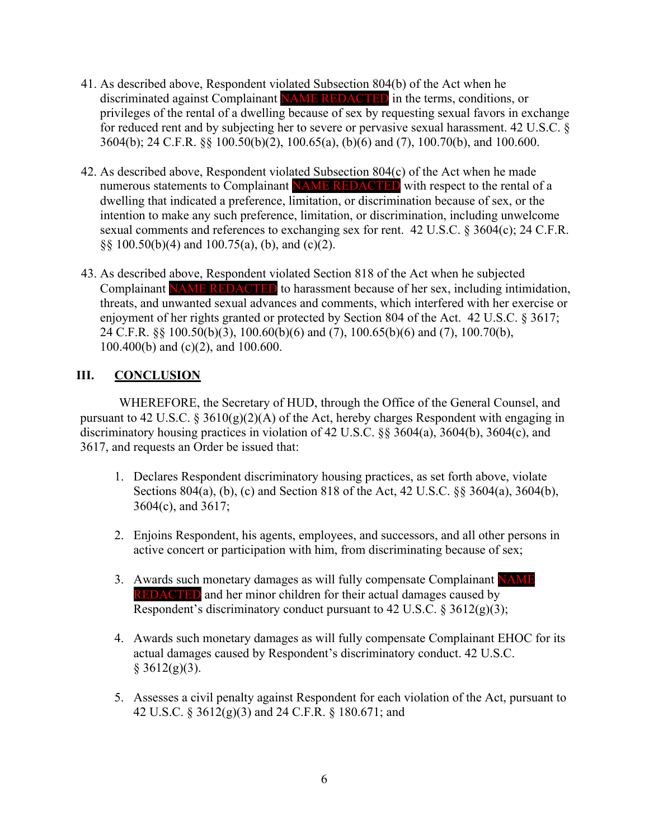- 41. As described above, Respondent violated Subsection 804(b) of the Act when he discriminated against Complainant NAME REDACTED in the terms, conditions, or privileges of the rental of a dwelling because of sex by requesting sexual favors in exchange for reduced rent and by subjecting her to severe or pervasive sexual harassment. 42 U.S.C. § 3604(b); 24 C.F.R. §§ 100.50(b)(2), 100.65(a), (b)(6) and (7), 100.70(b), and 100.600.
- 42. As described above, Respondent violated Subsection 804(c) of the Act when he made numerous statements to Complainant NAME REDACTED with respect to the rental of a dwelling that indicated a preference, limitation, or discrimination because of sex, or the intention to make any such preference, limitation, or discrimination, including unwelcome sexual comments and references to exchanging sex for rent. 42 U.S.C. § 3604(c); 24 C.F.R. §§ 100.50(b)(4) and 100.75(a), (b), and (c)(2).
- 43. As described above, Respondent violated Section 818 of the Act when he subjected Complainant NAME REDACTED to harassment because of her sex, including intimidation, threats, and unwanted sexual advances and comments, which interfered with her exercise or enjoyment of her rights granted or protected by Section 804 of the Act. 42 U.S.C. § 3617; 24 C.F.R. §§ 100.50(b)(3), 100.60(b)(6) and (7), 100.65(b)(6) and (7), 100.70(b), 100.400(b) and (c)(2), and 100.600.

# **III. CONCLUSION**

WHEREFORE, the Secretary of HUD, through the Office of the General Counsel, and pursuant to 42 U.S.C. § 3610(g)(2)(A) of the Act, hereby charges Respondent with engaging in discriminatory housing practices in violation of 42 U.S.C. §§ 3604(a), 3604(b), 3604(c), and 3617, and requests an Order be issued that:

- 1. Declares Respondent discriminatory housing practices, as set forth above, violate Sections 804(a), (b), (c) and Section 818 of the Act, 42 U.S.C. §§ 3604(a), 3604(b), 3604(c), and 3617;
- 2. Enjoins Respondent, his agents, employees, and successors, and all other persons in active concert or participation with him, from discriminating because of sex;
- 3. Awards such monetary damages as will fully compensate Complainant NAME REDACTED and her minor children for their actual damages caused by Respondent's discriminatory conduct pursuant to 42 U.S.C.  $\S 3612(g)(3)$ ;
- 4. Awards such monetary damages as will fully compensate Complainant EHOC for its actual damages caused by Respondent's discriminatory conduct. 42 U.S.C.  $§ 3612(g)(3).$
- 5. Assesses a civil penalty against Respondent for each violation of the Act, pursuant to 42 U.S.C. § 3612(g)(3) and 24 C.F.R. § 180.671; and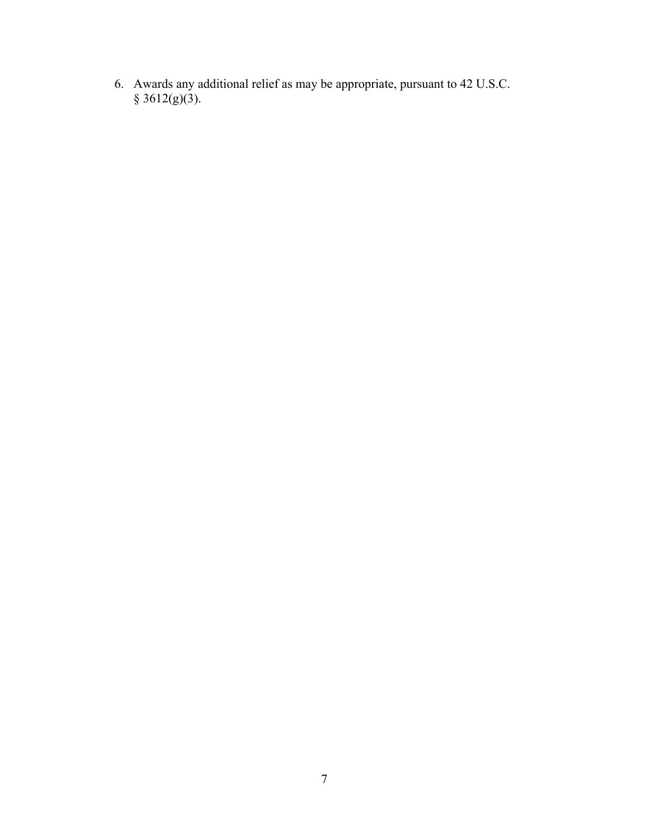6. Awards any additional relief as may be appropriate, pursuant to 42 U.S.C.  $§ 3612(g)(3).$